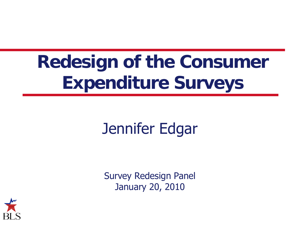### **Redesign of the Consumer Expenditure Surveys**

#### Jennifer Edgar

Survey Redesign Panel January 20, 2010

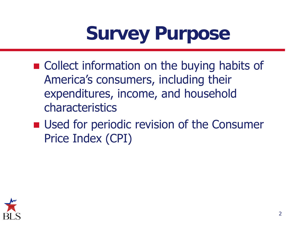### **Survey Purpose**

- Collect information on the buying habits of America's consumers, including their expenditures, income, and household characteristics
- Used for periodic revision of the Consumer Price Index (CPI)

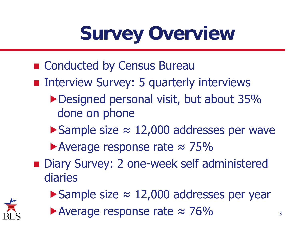## **Survey Overview**

- Conducted by Census Bureau
- **n** Interview Survey: 5 quarterly interviews
	- Designed personal visit, but about 35% done on phone
	- Sample size ≈ 12,000 addresses per wave
	- ▶ Average response rate  $\approx$  75%
- Diary Survey: 2 one-week self administered diaries
	- Sample size ≈ 12,000 addresses per year
	- Average response rate  $\approx$  76% 3

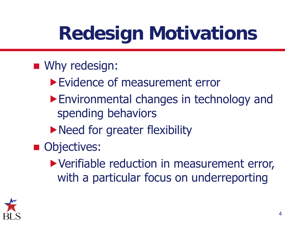### **Redesign Motivations**

#### **No.** Why redesign:

- ▶ Evidence of measurement error
- Environmental changes in technology and spending behaviors
- **Need for greater flexibility**
- **Objectives:** 
	- Verifiable reduction in measurement error, with a particular focus on underreporting

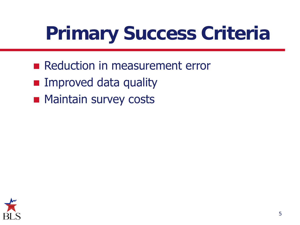## **Primary Success Criteria**

- Reduction in measurement error
- **Improved data quality**
- **Maintain survey costs**

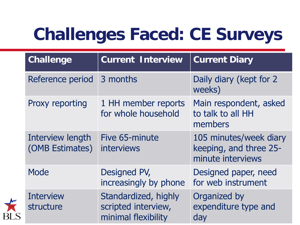#### **Challenges Faced: CE Surveys**

| <b>Challenge</b>                    | <b>Current Interview</b>                                           | <b>Current Diary</b>                                                  |
|-------------------------------------|--------------------------------------------------------------------|-----------------------------------------------------------------------|
| Reference period                    | 3 months                                                           | Daily diary (kept for 2<br>weeks)                                     |
| Proxy reporting                     | 1 HH member reports<br>for whole household                         | Main respondent, asked<br>to talk to all HH<br>members                |
| Interview length<br>(OMB Estimates) | Five 65-minute<br><b>interviews</b>                                | 105 minutes/week diary<br>keeping, and three 25-<br>minute interviews |
| Mode                                | Designed PV,<br>increasingly by phone                              | Designed paper, need<br>for web instrument                            |
| <b>Interview</b><br>structure       | Standardized, highly<br>scripted interview,<br>minimal flexibility | Organized by<br>expenditure type and<br>day                           |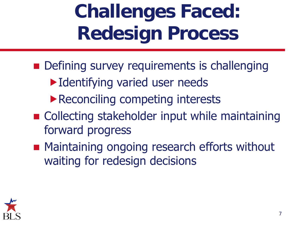### **Challenges Faced: Redesign Process**

- **Defining survey requirements is challenging** 
	- Identifying varied user needs
	- Reconciling competing interests
- Collecting stakeholder input while maintaining forward progress
- **Maintaining ongoing research efforts without** waiting for redesign decisions

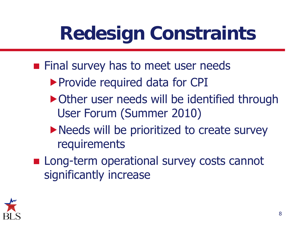### **Redesign Constraints**

- **Final survey has to meet user needs** 
	- ▶ Provide required data for CPI
	- ▶ Other user needs will be identified through User Forum (Summer 2010)
	- Needs will be prioritized to create survey requirements
- **Long-term operational survey costs cannot** significantly increase

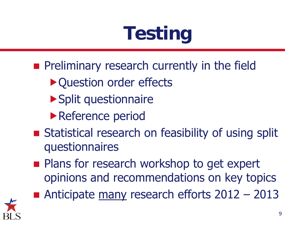# **Testing**

- **Preliminary research currently in the field** 
	- ▶ Question order effects
	- Split questionnaire
	- ▶ Reference period
- **Statistical research on feasibility of using split** questionnaires
- **Plans for research workshop to get expert** opinions and recommendations on key topics
- Anticipate many research efforts  $2012 2013$

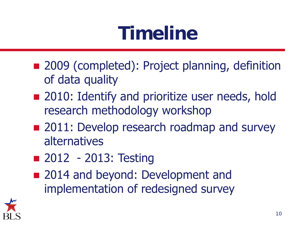### **Timeline**

- 2009 (completed): Project planning, definition of data quality
- 2010: Identify and prioritize user needs, hold research methodology workshop
- 2011: Develop research roadmap and survey alternatives
- 2012 2013: Testing
- 2014 and beyond: Development and implementation of redesigned survey